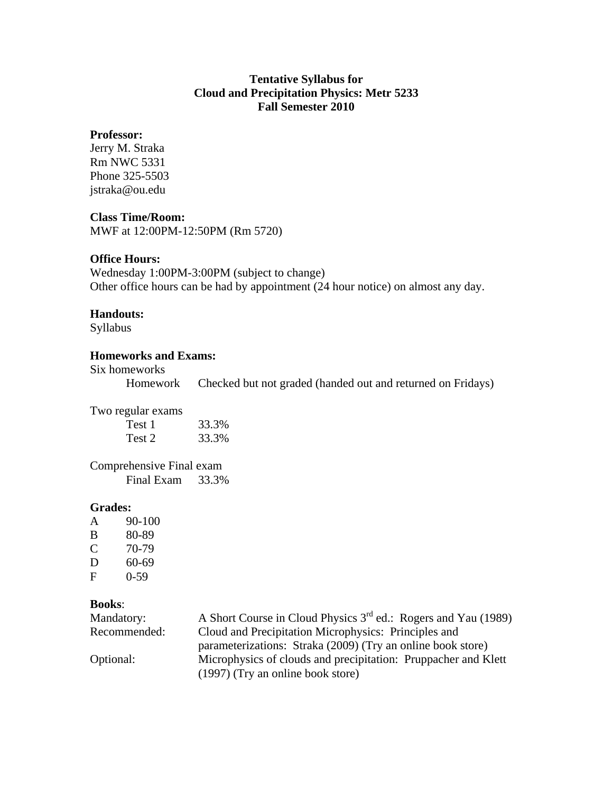# **Tentative Syllabus for Cloud and Precipitation Physics: Metr 5233 Fall Semester 2010**

#### **Professor:**

Jerry M. Straka Rm NWC 5331 Phone 325-5503 jstraka@ou.edu

#### **Class Time/Room:**

MWF at 12:00PM-12:50PM (Rm 5720)

## **Office Hours:**

Wednesday 1:00PM-3:00PM (subject to change) Other office hours can be had by appointment (24 hour notice) on almost any day.

#### **Handouts:**

Syllabus

## **Homeworks and Exams:**

#### Six homeworks

Homework Checked but not graded (handed out and returned on Fridays)

Two regular exams

| Test 1 | 33.3% |
|--------|-------|
| Test 2 | 33.3% |

Comprehensive Final exam Final Exam 33.3%

## **Grades:**

A 90-100 B 80-89 C 70-79 D 60-69 F 0-59

## **Books**:

| Mandatory:   | A Short Course in Cloud Physics 3 <sup>rd</sup> ed.: Rogers and Yau (1989) |
|--------------|----------------------------------------------------------------------------|
| Recommended: | Cloud and Precipitation Microphysics: Principles and                       |
|              | parameterizations: Straka (2009) (Try an online book store)                |
| Optional:    | Microphysics of clouds and precipitation: Pruppacher and Klett             |
|              | (1997) (Try an online book store)                                          |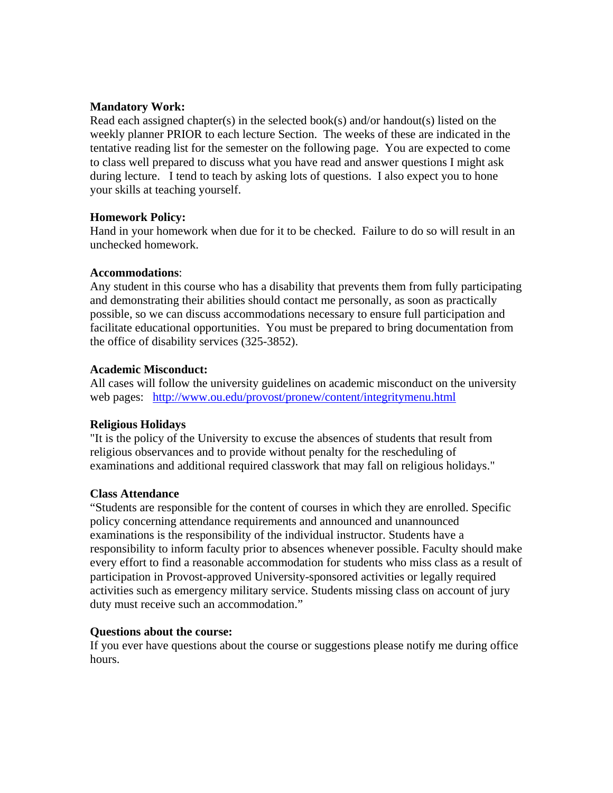## **Mandatory Work:**

Read each assigned chapter(s) in the selected book(s) and/or handout(s) listed on the weekly planner PRIOR to each lecture Section. The weeks of these are indicated in the tentative reading list for the semester on the following page. You are expected to come to class well prepared to discuss what you have read and answer questions I might ask during lecture. I tend to teach by asking lots of questions. I also expect you to hone your skills at teaching yourself.

## **Homework Policy:**

Hand in your homework when due for it to be checked. Failure to do so will result in an unchecked homework.

# **Accommodations**:

Any student in this course who has a disability that prevents them from fully participating and demonstrating their abilities should contact me personally, as soon as practically possible, so we can discuss accommodations necessary to ensure full participation and facilitate educational opportunities. You must be prepared to bring documentation from the office of disability services (325-3852).

# **Academic Misconduct:**

All cases will follow the university guidelines on academic misconduct on the university web pages: http://www.ou.edu/provost/pronew/content/integritymenu.html

# **Religious Holidays**

"It is the policy of the University to excuse the absences of students that result from religious observances and to provide without penalty for the rescheduling of examinations and additional required classwork that may fall on religious holidays."

# **Class Attendance**

"Students are responsible for the content of courses in which they are enrolled. Specific policy concerning attendance requirements and announced and unannounced examinations is the responsibility of the individual instructor. Students have a responsibility to inform faculty prior to absences whenever possible. Faculty should make every effort to find a reasonable accommodation for students who miss class as a result of participation in Provost-approved University-sponsored activities or legally required activities such as emergency military service. Students missing class on account of jury duty must receive such an accommodation."

## **Questions about the course:**

If you ever have questions about the course or suggestions please notify me during office hours.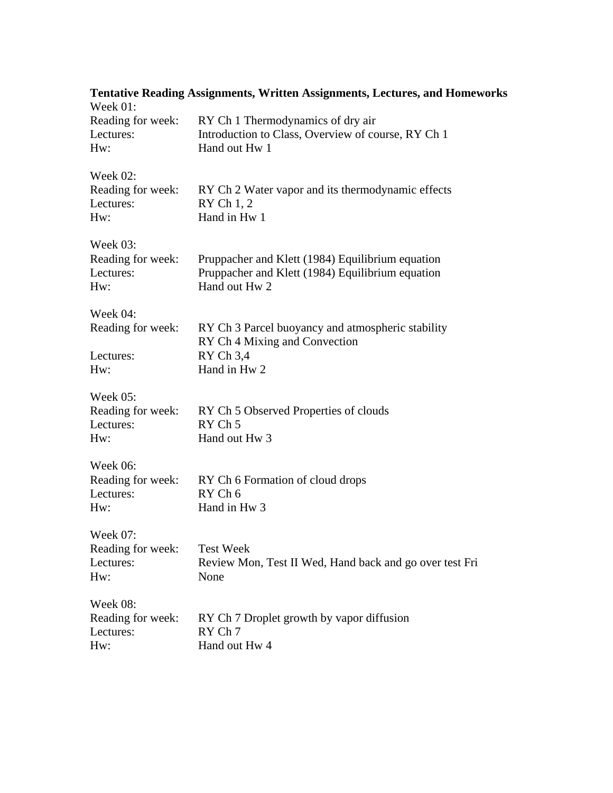| <b>Tentative Reading Assignments, Written Assignments, Lectures, and Homeworks</b><br>Week 01: |                                                                                                                       |  |
|------------------------------------------------------------------------------------------------|-----------------------------------------------------------------------------------------------------------------------|--|
| Reading for week:<br>Lectures:<br>Hw:                                                          | RY Ch 1 Thermodynamics of dry air<br>Introduction to Class, Overview of course, RY Ch 1<br>Hand out Hw 1              |  |
| Week 02:<br>Reading for week:<br>Lectures:<br>Hw:                                              | RY Ch 2 Water vapor and its thermodynamic effects<br>RY Ch 1, 2<br>Hand in Hw 1                                       |  |
| Week 03:<br>Reading for week:<br>Lectures:<br>$Hw$ :                                           | Pruppacher and Klett (1984) Equilibrium equation<br>Pruppacher and Klett (1984) Equilibrium equation<br>Hand out Hw 2 |  |
| Week 04:<br>Reading for week:<br>Lectures:<br>Hw:                                              | RY Ch 3 Parcel buoyancy and atmospheric stability<br>RY Ch 4 Mixing and Convection<br>RY Ch 3,4<br>Hand in Hw 2       |  |
| Week 05:<br>Reading for week:<br>Lectures:<br>Hw:                                              | RY Ch 5 Observed Properties of clouds<br>RY Ch <sub>5</sub><br>Hand out Hw 3                                          |  |
| Week 06:<br>Reading for week:<br>Lectures:<br>Hw:                                              | RY Ch 6 Formation of cloud drops<br>RY Ch 6<br>Hand in Hw <sub>3</sub>                                                |  |
| Week 07:<br>Reading for week:<br>Lectures:<br>Hw:                                              | <b>Test Week</b><br>Review Mon, Test II Wed, Hand back and go over test Fri<br>None                                   |  |
| <b>Week 08:</b><br>Reading for week:<br>Lectures:<br>Hw:                                       | RY Ch 7 Droplet growth by vapor diffusion<br>RY Ch 7<br>Hand out Hw 4                                                 |  |